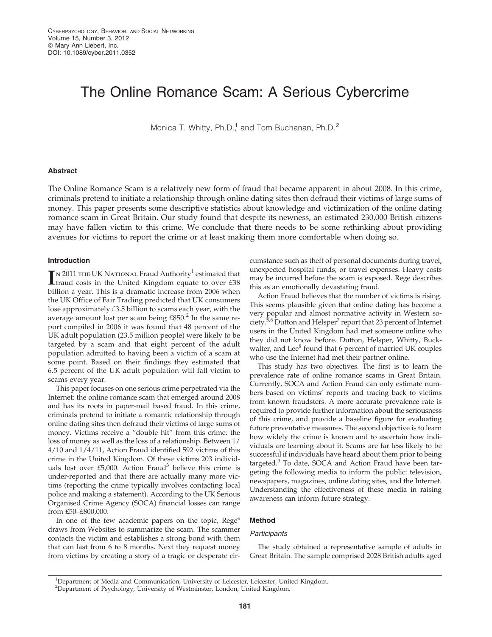# The Online Romance Scam: A Serious Cybercrime

Monica T. Whitty, Ph.D.<sup>1</sup> and Tom Buchanan, Ph.D.<sup>2</sup>

# Abstract

The Online Romance Scam is a relatively new form of fraud that became apparent in about 2008. In this crime, criminals pretend to initiate a relationship through online dating sites then defraud their victims of large sums of money. This paper presents some descriptive statistics about knowledge and victimization of the online dating romance scam in Great Britain. Our study found that despite its newness, an estimated 230,000 British citizens may have fallen victim to this crime. We conclude that there needs to be some rethinking about providing avenues for victims to report the crime or at least making them more comfortable when doing so.

# Introduction

 $\prod$ N 2011 THE UK NATIONAL Fraud Authority<sup>1</sup> estimated that fraud costs in the United Kingdom equate to over £38 fraud costs in the United Kingdom equate to over £38 billion a year. This is a dramatic increase from 2006 when the UK Office of Fair Trading predicted that UK consumers lose approximately £3.5 billion to scams each year, with the average amount lost per scam being  $£850<sup>2</sup>$  In the same report compiled in 2006 it was found that 48 percent of the UK adult population (23.5 million people) were likely to be targeted by a scam and that eight percent of the adult population admitted to having been a victim of a scam at some point. Based on their findings they estimated that 6.5 percent of the UK adult population will fall victim to scams every year.

This paper focuses on one serious crime perpetrated via the Internet: the online romance scam that emerged around 2008 and has its roots in paper-mail based fraud. In this crime, criminals pretend to initiate a romantic relationship through online dating sites then defraud their victims of large sums of money. Victims receive a ''double hit'' from this crime: the loss of money as well as the loss of a relationship. Between 1/ 4/10 and 1/4/11, Action Fraud identified 592 victims of this crime in the United Kingdom. Of these victims 203 individuals lost over £5,000. Action Fraud<sup>3</sup> believe this crime is under-reported and that there are actually many more victims (reporting the crime typically involves contacting local police and making a statement). According to the UK Serious Organised Crime Agency (SOCA) financial losses can range from £50–£800,000.

In one of the few academic papers on the topic,  $Rege<sup>4</sup>$ draws from Websites to summarize the scam. The scammer contacts the victim and establishes a strong bond with them that can last from 6 to 8 months. Next they request money from victims by creating a story of a tragic or desperate circumstance such as theft of personal documents during travel, unexpected hospital funds, or travel expenses. Heavy costs may be incurred before the scam is exposed. Rege describes this as an emotionally devastating fraud.

Action Fraud believes that the number of victims is rising. This seems plausible given that online dating has become a very popular and almost normative activity in Western society.<sup>5,6</sup> Dutton and Helsper<sup>7</sup> report that 23 percent of Internet users in the United Kingdom had met someone online who they did not know before. Dutton, Helsper, Whitty, Buckwalter, and Lee<sup>8</sup> found that 6 percent of married UK couples who use the Internet had met their partner online.

This study has two objectives. The first is to learn the prevalence rate of online romance scams in Great Britain. Currently, SOCA and Action Fraud can only estimate numbers based on victims' reports and tracing back to victims from known fraudsters. A more accurate prevalence rate is required to provide further information about the seriousness of this crime, and provide a baseline figure for evaluating future preventative measures. The second objective is to learn how widely the crime is known and to ascertain how individuals are learning about it. Scams are far less likely to be successful if individuals have heard about them prior to being targeted.<sup>9</sup> To date, SOCA and Action Fraud have been targeting the following media to inform the public: television, newspapers, magazines, online dating sites, and the Internet. Understanding the effectiveness of these media in raising awareness can inform future strategy.

# Method

## **Participants**

The study obtained a representative sample of adults in Great Britain. The sample comprised 2028 British adults aged

<sup>&</sup>lt;sup>1</sup>Department of Media and Communication, University of Leicester, Leicester, United Kingdom. <sup>2</sup>Department of Psychology, University of Westminster, London, United Kingdom.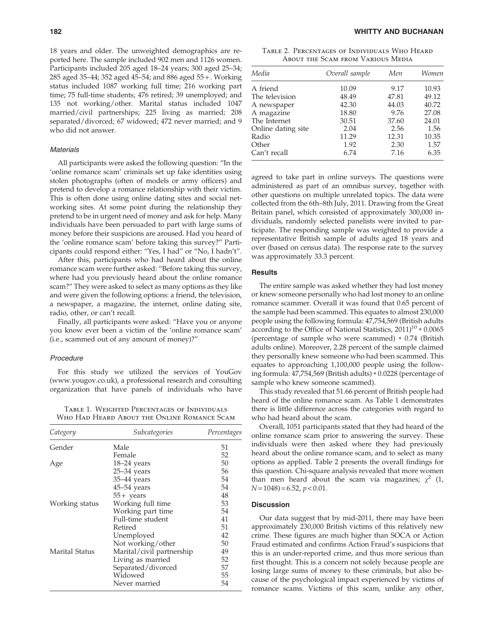18 years and older. The unweighted demographics are reported here. The sample included 902 men and 1126 women. Participants included 205 aged 18–24 years; 300 aged 25–34; 285 aged 35–44; 352 aged 45–54; and 886 aged 55 + . Working status included 1087 working full time; 216 working part time; 75 full-time students; 476 retired; 39 unemployed; and 135 not working/other. Marital status included 1047 married/civil partnerships; 225 living as married; 208 separated/divorced; 67 widowed; 472 never married; and 9 who did not answer.

## **Materials**

All participants were asked the following question: ''In the 'online romance scam' criminals set up fake identities using stolen photographs (often of models or army officers) and pretend to develop a romance relationship with their victim. This is often done using online dating sites and social networking sites. At some point during the relationship they pretend to be in urgent need of money and ask for help. Many individuals have been persuaded to part with large sums of money before their suspicions are aroused. Had you heard of the 'online romance scam' before taking this survey?'' Participants could respond either: ''Yes, I had'' or ''No, I hadn't''.

After this, participants who had heard about the online romance scam were further asked: ''Before taking this survey, where had you previously heard about the online romance scam?'' They were asked to select as many options as they like and were given the following options: a friend, the television, a newspaper, a magazine, the internet, online dating site, radio, other, or can't recall.

Finally, all participants were asked: ''Have you or anyone you know ever been a victim of the 'online romance scam' (i.e., scammed out of any amount of money)?''

#### Procedure

For this study we utilized the services of YouGov (www.yougov.co.uk), a professional research and consulting organization that have panels of individuals who have

Table 1. Weighted Percentages of Individuals Who Had Heard About the Online Romance Scam

| Category       | Subcategories             | Percentages |
|----------------|---------------------------|-------------|
| Gender         | Male                      | 51          |
|                | Female                    | 52          |
| Age            | 18-24 years               | 50          |
|                | $25-34$ years             | 56          |
|                | 35-44 years               | 54          |
|                | $45-54$ years             | 54          |
|                | $55+$ years               | 48          |
| Working status | Working full time         | 53          |
|                | Working part time         | 54          |
|                | Full-time student         | 41          |
|                | Retired                   | 51          |
|                | Unemployed                | 42          |
|                | Not working/other         | 50          |
| Marital Status | Marital/civil partnership | 49          |
|                | Living as married         | 52          |
|                | Separated/divorced        | 57          |
|                | Widowed                   | 55          |
|                | Never married             | 54          |

Table 2. Percentages of Individuals Who Heard About the Scam from Various Media

| Media              | Overall sample | Men   | Women |
|--------------------|----------------|-------|-------|
| A friend           | 10.09          | 9.17  | 10.93 |
| The television     | 48.49          | 47.81 | 49.12 |
| A newspaper        | 42.30          | 44.03 | 40.72 |
| A magazine         | 18.80          | 9.76  | 27.08 |
| The Internet       | 30.51          | 37.60 | 24.01 |
| Online dating site | 2.04           | 2.56  | 1.56  |
| Radio              | 11.29          | 12.31 | 10.35 |
| Other              | 1.92           | 2.30  | 1.57  |
| Can't recall       | 6.74           | 7.16  | 6.35  |

agreed to take part in online surveys. The questions were administered as part of an omnibus survey, together with other questions on multiple unrelated topics. The data were collected from the 6th–8th July, 2011. Drawing from the Great Britain panel, which consisted of approximately 300,000 individuals, randomly selected panelists were invited to participate. The responding sample was weighted to provide a representative British sample of adults aged 18 years and over (based on census data). The response rate to the survey was approximately 33.3 percent.

## **Results**

The entire sample was asked whether they had lost money or knew someone personally who had lost money to an online romance scammer. Overall it was found that 0.65 percent of the sample had been scammed. This equates to almost 230,000 people using the following formula: 47,754,569 (British adults according to the Office of National Statistics,  $2011$ <sup>10</sup>  $*$  0.0065 (percentage of sample who were scammed) \* 0.74 (British adults online). Moreover, 2.28 percent of the sample claimed they personally knew someone who had been scammed. This equates to approaching 1,100,000 people using the following formula: 47,754,569 (British adults) \* 0.0228 (percentage of sample who knew someone scammed).

This study revealed that 51.66 percent of British people had heard of the online romance scam. As Table 1 demonstrates there is little difference across the categories with regard to who had heard about the scam.

Overall, 1051 participants stated that they had heard of the online romance scam prior to answering the survey. These individuals were then asked where they had previously heard about the online romance scam, and to select as many options as applied. Table 2 presents the overall findings for this question. Chi-square analysis revealed that more women than men heard about the scam via magazines;  $\chi^2$  (1,  $N = 1048$ ) = 6.52,  $p < 0.01$ .

## **Discussion**

Our data suggest that by mid-2011, there may have been approximately 230,000 British victims of this relatively new crime. These figures are much higher than SOCA or Action Fraud estimated and confirms Action Fraud's suspicions that this is an under-reported crime, and thus more serious than first thought. This is a concern not solely because people are losing large sums of money to these criminals, but also because of the psychological impact experienced by victims of romance scams. Victims of this scam, unlike any other,